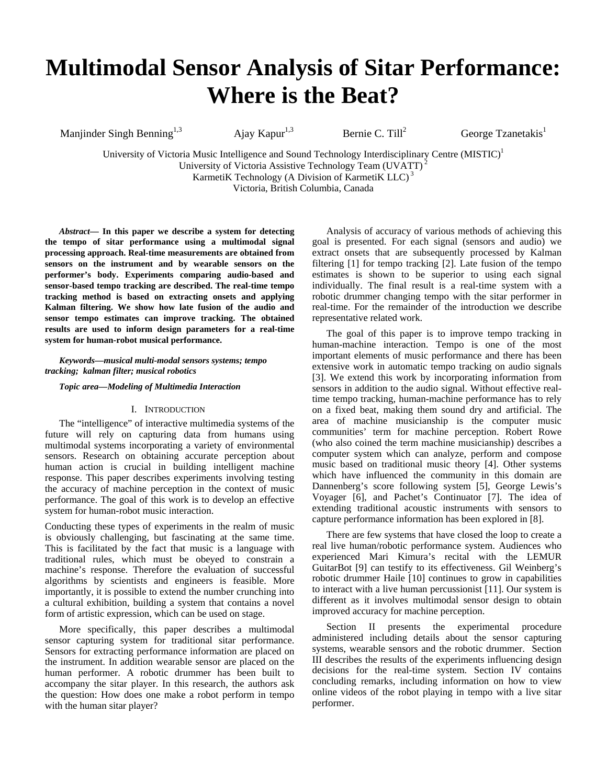# **Multimodal Sensor Analysis of Sitar Performance: Where is the Beat?**

Manjinder Singh Benning<sup>1,3</sup> Ajay Kapur<sup>1,3</sup> Bernie C. Till<sup>2</sup>

George Tzanetakis $<sup>1</sup>$ </sup>

University of Victoria Music Intelligence and Sound Technology Interdisciplinary Centre (MISTIC)<sup>1</sup> University of Victoria Assistive Technology Team (UVATT) 2 KarmetiK Technology (A Division of KarmetiK LLC) 3

Victoria, British Columbia, Canada

*Abstract***— In this paper we describe a system for detecting the tempo of sitar performance using a multimodal signal processing approach. Real-time measurements are obtained from sensors on the instrument and by wearable sensors on the performer's body. Experiments comparing audio-based and sensor-based tempo tracking are described. The real-time tempo tracking method is based on extracting onsets and applying Kalman filtering. We show how late fusion of the audio and sensor tempo estimates can improve tracking. The obtained results are used to inform design parameters for a real-time system for human-robot musical performance.** 

*Keywords—musical multi-modal sensors systems; tempo tracking; kalman filter; musical robotics*

*Topic area—Modeling of Multimedia Interaction* 

#### I. INTRODUCTION

The "intelligence" of interactive multimedia systems of the future will rely on capturing data from humans using multimodal systems incorporating a variety of environmental sensors. Research on obtaining accurate perception about human action is crucial in building intelligent machine response. This paper describes experiments involving testing the accuracy of machine perception in the context of music performance. The goal of this work is to develop an effective system for human-robot music interaction.

Conducting these types of experiments in the realm of music is obviously challenging, but fascinating at the same time. This is facilitated by the fact that music is a language with traditional rules, which must be obeyed to constrain a machine's response. Therefore the evaluation of successful algorithms by scientists and engineers is feasible. More importantly, it is possible to extend the number crunching into a cultural exhibition, building a system that contains a novel form of artistic expression, which can be used on stage.

More specifically, this paper describes a multimodal sensor capturing system for traditional sitar performance. Sensors for extracting performance information are placed on the instrument. In addition wearable sensor are placed on the human performer. A robotic drummer has been built to accompany the sitar player. In this research, the authors ask the question: How does one make a robot perform in tempo with the human sitar player?

Analysis of accuracy of various methods of achieving this goal is presented. For each signal (sensors and audio) we extract onsets that are subsequently processed by Kalman filtering [1] for tempo tracking [2]. Late fusion of the tempo estimates is shown to be superior to using each signal individually. The final result is a real-time system with a robotic drummer changing tempo with the sitar performer in real-time. For the remainder of the introduction we describe representative related work.

The goal of this paper is to improve tempo tracking in human-machine interaction. Tempo is one of the most important elements of music performance and there has been extensive work in automatic tempo tracking on audio signals [3]. We extend this work by incorporating information from sensors in addition to the audio signal. Without effective realtime tempo tracking, human-machine performance has to rely on a fixed beat, making them sound dry and artificial. The area of machine musicianship is the computer music communities' term for machine perception. Robert Rowe (who also coined the term machine musicianship) describes a computer system which can analyze, perform and compose music based on traditional music theory [4]. Other systems which have influenced the community in this domain are Dannenberg's score following system [5], George Lewis's Voyager [6], and Pachet's Continuator [7]. The idea of extending traditional acoustic instruments with sensors to capture performance information has been explored in [8].

There are few systems that have closed the loop to create a real live human/robotic performance system. Audiences who experienced Mari Kimura's recital with the LEMUR GuitarBot [9] can testify to its effectiveness. Gil Weinberg's robotic drummer Haile [10] continues to grow in capabilities to interact with a live human percussionist [11]. Our system is different as it involves multimodal sensor design to obtain improved accuracy for machine perception.

Section II presents the experimental procedure administered including details about the sensor capturing systems, wearable sensors and the robotic drummer. Section III describes the results of the experiments influencing design decisions for the real-time system. Section IV contains concluding remarks, including information on how to view online videos of the robot playing in tempo with a live sitar performer.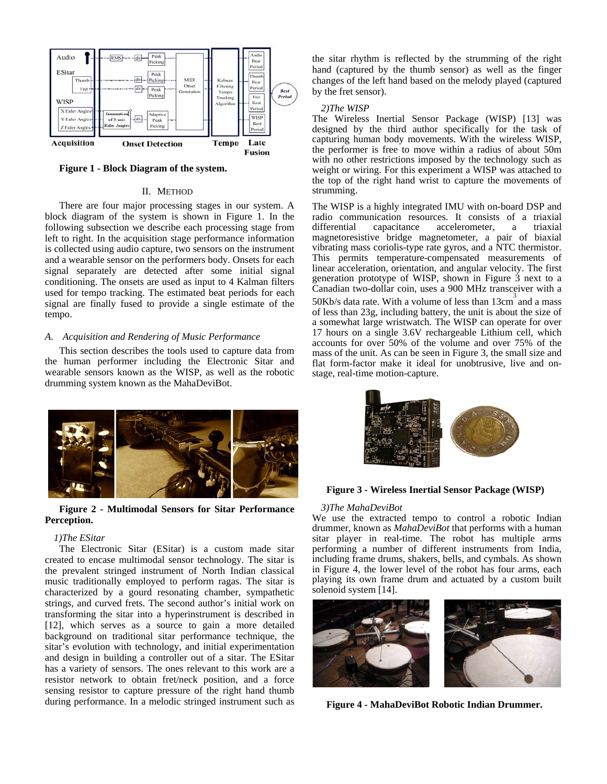

**Figure 1 - Block Diagram of the system.**

#### II. METHOD

There are four major processing stages in our system. A block diagram of the system is shown in Figure 1. In the following subsection we describe each processing stage from left to right. In the acquisition stage performance information is collected using audio capture, two sensors on the instrument and a wearable sensor on the performers body. Onsets for each signal separately are detected after some initial signal conditioning. The onsets are used as input to 4 Kalman filters used for tempo tracking. The estimated beat periods for each signal are finally fused to provide a single estimate of the tempo.

### *A. Acquisition and Rendering of Music Performance*

This section describes the tools used to capture data from the human performer including the Electronic Sitar and wearable sensors known as the WISP, as well as the robotic drumming system known as the MahaDeviBot.



## **Figure 2 - Multimodal Sensors for Sitar Performance Perception.**

## *1 )The ESitar*

The Electronic Sitar (ESitar) is a custom made sitar created to encase multimodal sensor technology. The sitar is the prevalent stringed instrument of North Indian classical music traditionally employed to perform ragas. The sitar is characterized by a gourd resonating chamber, sympathetic strings, and curved frets. The second author's initial work on transforming the sitar into a hyperinstrument is described in [12], which serves as a source to gain a more detailed background on traditional sitar performance technique, the sitar's evolution with technology, and initial experimentation and design in building a controller out of a sitar. The ESitar has a variety of sensors. The ones relevant to this work are a resistor network to obtain fret/neck position, and a force sensing resistor to capture pressure of the right hand thumb during performance. In a melodic stringed instrument such as

the sitar rhythm is reflected by the strumming of the right hand (captured by the thumb sensor) as well as the finger changes of the left hand based on the melody played (captured by the fret sensor).

## *2 )The WISP*

The Wireless Inertial Sensor Package (WISP) [13] was designed by the third author specifically for the task of capturing human body movements. With the wireless WISP, the performer is free to move within a radius of about 50m with no other restrictions imposed by the technology such as weight or wiring. For this experiment a WISP was attached to the top of the right hand wrist to capture the movements of strumming.

The WISP is a highly integrated IMU with on-board DSP and radio communication resources. It consists of a triaxial differential capacitance accelerometer, a triaxial accelerometer, a triaxial magnetoresistive bridge magnetometer, a pair of biaxial vibrating mass coriolis-type rate gyros, and a NTC thermistor. This permits temperature-compensated measurements of linear acceleration, orientation, and angular velocity. The first generation prototype of WISP, shown in Figure 3 next to a Canadian two-dollar coin, uses a 900 MHz transceiver with a 50Kb/s data rate. With a volume of less than  $13 \text{cm}^3$  and a mass of less than 23g, including battery, the unit is about the size of a somewhat large wristwatch. The WISP can operate for over 17 hours on a single 3.6V rechargeable Lithium cell, which accounts for over 50% of the volume and over 75% of the mass of the unit. As can be seen in Figure 3, the small size and flat form-factor make it ideal for unobtrusive, live and onstage, real-time motion-capture.



**Figure 3 - Wireless Inertial Sensor Package (WISP)** 

#### *3)The MahaDeviBot*

We use the extracted tempo to control a robotic Indian drummer, known as *MahaDeviBot* that performs with a human sitar player in real-time. The robot has multiple arms performing a number of different instruments from India, including frame drums, shakers, bells, and cymbals. As shown in Figure 4, the lower level of the robot has four arms, each playing its own frame drum and actuated by a custom built solenoid system [14].



**Figure 4 - MahaDeviBot Robotic Indian Drummer.**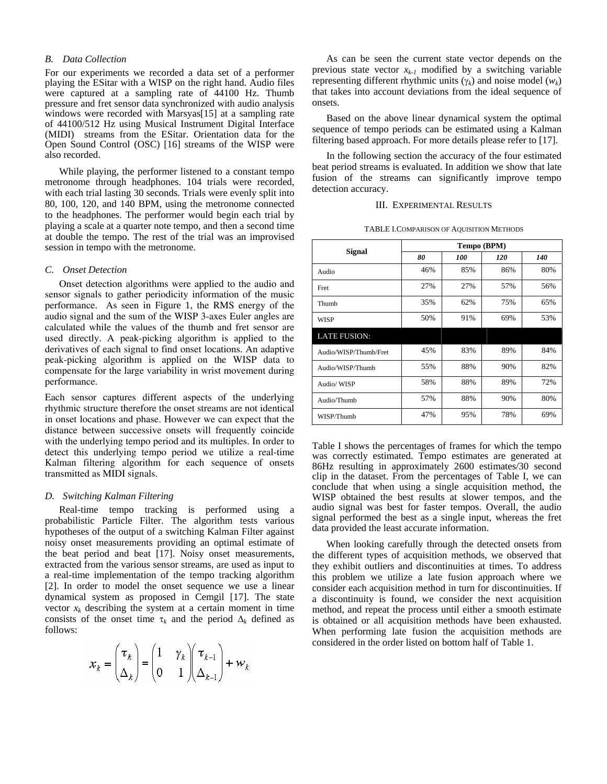#### *B. Data Collection*

For our experiments we recorded a data set of a performer playing the ESitar with a WISP on the right hand. Audio files were captured at a sampling rate of 44100 Hz. Thumb pressure and fret sensor data synchronized with audio analysis windows were recorded with Marsyas[15] at a sampling rate of 44100/512 Hz using Musical Instrument Digital Interface (MIDI) streams from the ESitar. Orientation data for the Open Sound Control (OSC) [16] streams of the WISP were also recorded.

While playing, the performer listened to a constant tempo metronome through headphones. 104 trials were recorded, with each trial lasting 30 seconds. Trials were evenly split into 80, 100, 120, and 140 BPM, using the metronome connected to the headphones. The performer would begin each trial by playing a scale at a quarter note tempo, and then a second time at double the tempo. The rest of the trial was an improvised session in tempo with the metronome.

#### *C. Onset Detection*

Onset detection algorithms were applied to the audio and sensor signals to gather periodicity information of the music performance. As seen in Figure 1, the RMS energy of the audio signal and the sum of the WISP 3-axes Euler angles are calculated while the values of the thumb and fret sensor are used directly. A peak-picking algorithm is applied to the derivatives of each signal to find onset locations. An adaptive peak-picking algorithm is applied on the WISP data to compensate for the large variability in wrist movement during performance.

Each sensor captures different aspects of the underlying rhythmic structure therefore the onset streams are not identical in onset locations and phase. However we can expect that the distance between successive onsets will frequently coincide with the underlying tempo period and its multiples. In order to detect this underlying tempo period we utilize a real-time Kalman filtering algorithm for each sequence of onsets transmitted as MIDI signals.

#### *D. Switching Kalman Filtering*

Real-time tempo tracking is performed using a probabilistic Particle Filter. The algorithm tests various hypotheses of the output of a switching Kalman Filter against noisy onset measurements providing an optimal estimate of the beat period and beat [17]. Noisy onset measurements, extracted from the various sensor streams, are used as input to a real-time implementation of the tempo tracking algorithm [2]. In order to model the onset sequence we use a linear dynamical system as proposed in Cemgil [17]. The state vector  $x_k$  describing the system at a certain moment in time consists of the onset time  $\tau_k$  and the period  $\Delta_k$  defined as follows:

$$
\mathcal{X}_k = \begin{pmatrix} \tau_k \\ \Delta_k \end{pmatrix} = \begin{pmatrix} 1 & \gamma_k \\ 0 & 1 \end{pmatrix} \begin{pmatrix} \tau_{k-1} \\ \Delta_{k-1} \end{pmatrix} + \mathcal{W}_k
$$

As can be seen the current state vector depends on the previous state vector  $x_{k-1}$  modified by a switching variable representing different rhythmic units (γ*k*) and noise model (*wk*) that takes into account deviations from the ideal sequence of onsets.

Based on the above linear dynamical system the optimal sequence of tempo periods can be estimated using a Kalman filtering based approach. For more details please refer to [17].

In the following section the accuracy of the four estimated beat period streams is evaluated. In addition we show that late fusion of the streams can significantly improve tempo detection accuracy.

### III. EXPERIMENTAL RESULTS

| TABLE I.COMPARISON OF AQUISITION METHODS |  |
|------------------------------------------|--|
|------------------------------------------|--|

| <b>Signal</b>         | Tempo (BPM) |     |     |     |
|-----------------------|-------------|-----|-----|-----|
|                       | 80          | 100 | 120 | 140 |
| Audio                 | 46%         | 85% | 86% | 80% |
| Fret                  | 27%         | 27% | 57% | 56% |
| Thumb                 | 35%         | 62% | 75% | 65% |
| WISP                  | 50%         | 91% | 69% | 53% |
| <b>LATE FUSION:</b>   |             |     |     |     |
| Audio/WISP/Thumb/Fret | 45%         | 83% | 89% | 84% |
| Audio/WISP/Thumb      | 55%         | 88% | 90% | 82% |
| Audio/WISP            | 58%         | 88% | 89% | 72% |
| Audio/Thumb           | 57%         | 88% | 90% | 80% |
| WISP/Thumb            | 47%         | 95% | 78% | 69% |

Table I shows the percentages of frames for which the tempo was correctly estimated. Tempo estimates are generated at 86Hz resulting in approximately 2600 estimates/30 second clip in the dataset. From the percentages of Table I, we can conclude that when using a single acquisition method, the WISP obtained the best results at slower tempos, and the audio signal was best for faster tempos. Overall, the audio signal performed the best as a single input, whereas the fret data provided the least accurate information.

When looking carefully through the detected onsets from the different types of acquisition methods, we observed that they exhibit outliers and discontinuities at times. To address this problem we utilize a late fusion approach where we consider each acquisition method in turn for discontinuities. If a discontinuity is found, we consider the next acquisition method, and repeat the process until either a smooth estimate is obtained or all acquisition methods have been exhausted. When performing late fusion the acquisition methods are considered in the order listed on bottom half of Table 1.